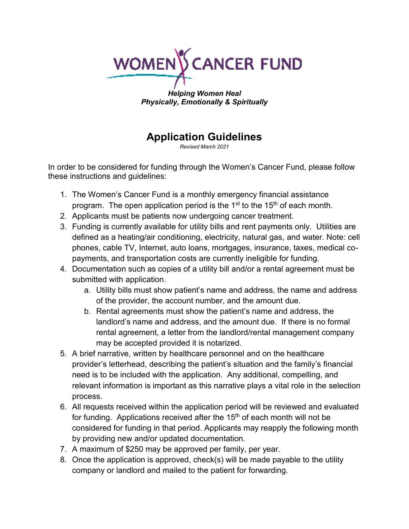

*Helping Women Heal Physically, Emotionally & Spiritually*

# **Application Guidelines**

*Revised March 2021*

In order to be considered for funding through the Women's Cancer Fund, please follow these instructions and guidelines:

- 1. The Women's Cancer Fund is a monthly emergency financial assistance program. The open application period is the  $1<sup>st</sup>$  to the 15<sup>th</sup> of each month.
- 2. Applicants must be patients now undergoing cancer treatment.
- 3. Funding is currently available for utility bills and rent payments only. Utilities are defined as a heating/air conditioning, electricity, natural gas, and water. Note: cell phones, cable TV, Internet, auto loans, mortgages, insurance, taxes, medical copayments, and transportation costs are currently ineligible for funding.
- 4. Documentation such as copies of a utility bill and/or a rental agreement must be submitted with application.
	- a. Utility bills must show patient's name and address, the name and address of the provider, the account number, and the amount due.
	- b. Rental agreements must show the patient's name and address, the landlord's name and address, and the amount due. If there is no formal rental agreement, a letter from the landlord/rental management company may be accepted provided it is notarized.
- 5. A brief narrative, written by healthcare personnel and on the healthcare provider's letterhead, describing the patient's situation and the family's financial need is to be included with the application. Any additional, compelling, and relevant information is important as this narrative plays a vital role in the selection process.
- 6. All requests received within the application period will be reviewed and evaluated for funding. Applications received after the  $15<sup>th</sup>$  of each month will not be considered for funding in that period. Applicants may reapply the following month by providing new and/or updated documentation.
- 7. A maximum of \$250 may be approved per family, per year.
- 8. Once the application is approved, check(s) will be made payable to the utility company or landlord and mailed to the patient for forwarding.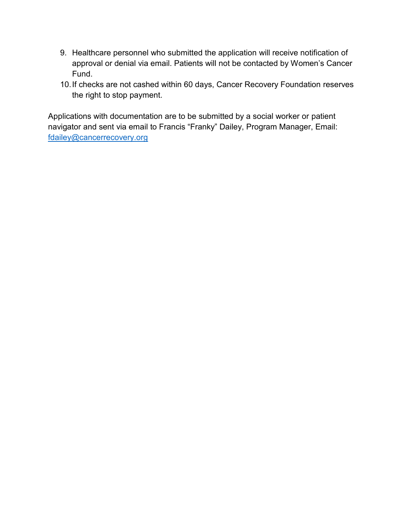- 9. Healthcare personnel who submitted the application will receive notification of approval or denial via email. Patients will not be contacted by Women's Cancer Fund.
- 10.If checks are not cashed within 60 days, Cancer Recovery Foundation reserves the right to stop payment.

Applications with documentation are to be submitted by a social worker or patient navigator and sent via email to Francis "Franky" Dailey, Program Manager, Email: [fdailey@cancerrecovery.org](mailto:fdailey@cancerrecovery.org)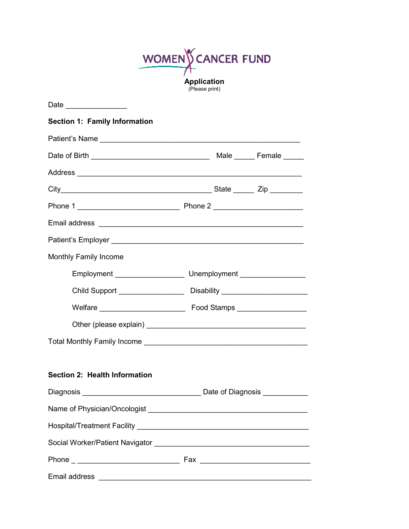WOMEN CANCER FUND **Application** (Please print)

| Date ________________                             |                                                                                  |
|---------------------------------------------------|----------------------------------------------------------------------------------|
| <b>Section 1: Family Information</b>              |                                                                                  |
|                                                   |                                                                                  |
| Date of Birth ___________________________________ | Male ______ Female _____                                                         |
|                                                   |                                                                                  |
|                                                   |                                                                                  |
|                                                   |                                                                                  |
|                                                   |                                                                                  |
|                                                   |                                                                                  |
| <b>Monthly Family Income</b>                      |                                                                                  |
|                                                   | Employment _________________________________Unemployment _______________________ |
|                                                   | Child Support ________________________Disability _______________________________ |
|                                                   |                                                                                  |
|                                                   |                                                                                  |
|                                                   |                                                                                  |
|                                                   |                                                                                  |
| Section 2: Health Information                     |                                                                                  |
|                                                   |                                                                                  |
|                                                   |                                                                                  |
|                                                   |                                                                                  |
|                                                   |                                                                                  |
|                                                   |                                                                                  |
| Email address                                     |                                                                                  |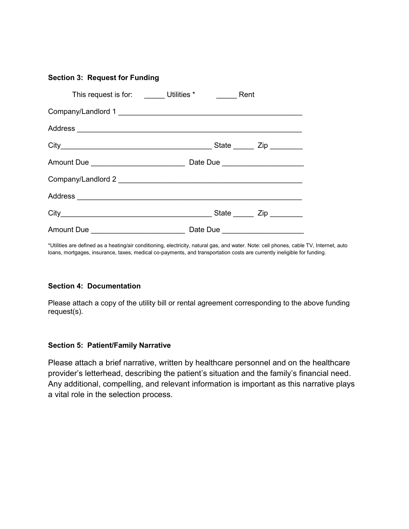# **Section 3: Request for Funding**

|                                             | This request is for: _______ Utilities * ________ Rent |                             |
|---------------------------------------------|--------------------------------------------------------|-----------------------------|
|                                             | Company/Landlord 1                                     |                             |
|                                             |                                                        |                             |
|                                             |                                                        | State ______ Zip ________   |
| Amount Due ___________________________      | Date Due _______________________                       |                             |
|                                             |                                                        |                             |
|                                             |                                                        |                             |
|                                             |                                                        | State _______ Zip _________ |
| Amount Due ________________________________ | Date Due _____________________                         |                             |

\*Utilities are defined as a heating/air conditioning, electricity, natural gas, and water. Note: cell phones, cable TV, Internet, auto loans, mortgages, insurance, taxes, medical co-payments, and transportation costs are currently ineligible for funding.

## **Section 4: Documentation**

Please attach a copy of the utility bill or rental agreement corresponding to the above funding request(s).

#### **Section 5: Patient/Family Narrative**

Please attach a brief narrative, written by healthcare personnel and on the healthcare provider's letterhead, describing the patient's situation and the family's financial need. Any additional, compelling, and relevant information is important as this narrative plays a vital role in the selection process.